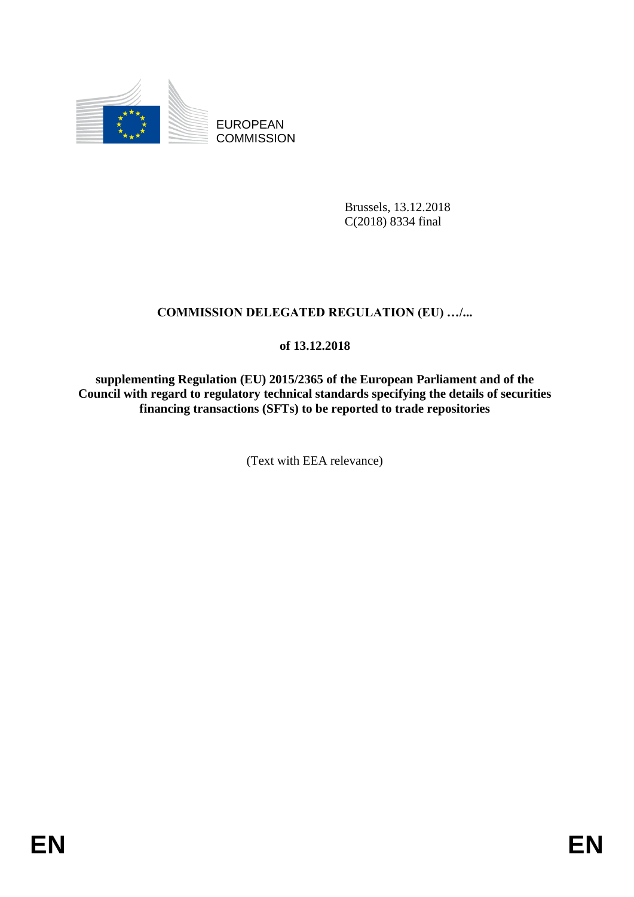

EUROPEAN **COMMISSION** 

> Brussels, 13.12.2018 C(2018) 8334 final

# **COMMISSION DELEGATED REGULATION (EU) …/...**

## **of 13.12.2018**

**supplementing Regulation (EU) 2015/2365 of the European Parliament and of the Council with regard to regulatory technical standards specifying the details of securities financing transactions (SFTs) to be reported to trade repositories**

(Text with EEA relevance)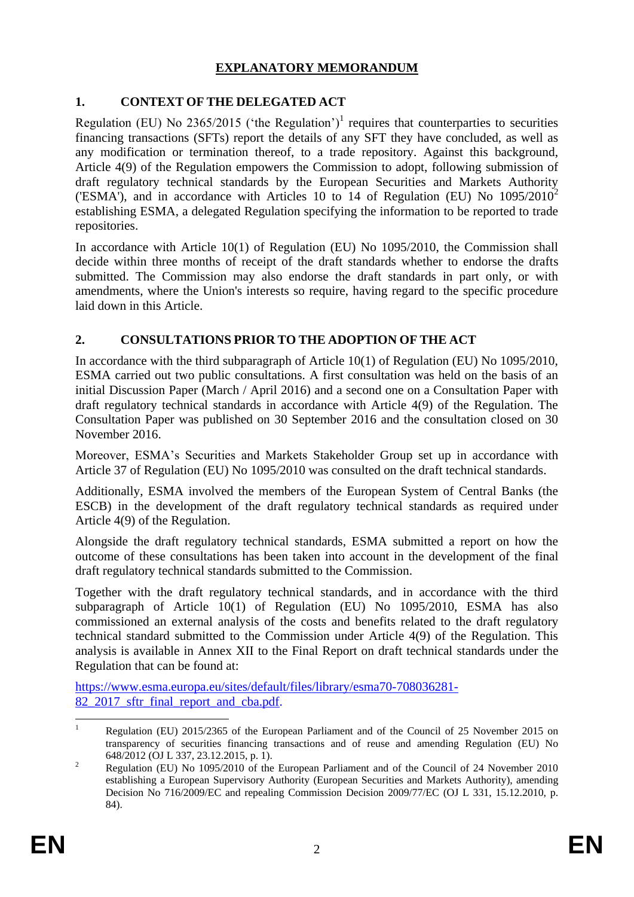## **EXPLANATORY MEMORANDUM**

## **1. CONTEXT OF THE DELEGATED ACT**

Regulation (EU) No 2365/2015 ('the Regulation')<sup>1</sup> requires that counterparties to securities financing transactions (SFTs) report the details of any SFT they have concluded, as well as any modification or termination thereof, to a trade repository. Against this background, Article 4(9) of the Regulation empowers the Commission to adopt, following submission of draft regulatory technical standards by the European Securities and Markets Authority ('ESMA'), and in accordance with Articles 10 to 14 of Regulation (EU) No  $1095/2010^2$ establishing ESMA, a delegated Regulation specifying the information to be reported to trade repositories.

In accordance with Article 10(1) of Regulation (EU) No 1095/2010, the Commission shall decide within three months of receipt of the draft standards whether to endorse the drafts submitted. The Commission may also endorse the draft standards in part only, or with amendments, where the Union's interests so require, having regard to the specific procedure laid down in this Article.

## **2. CONSULTATIONS PRIOR TO THE ADOPTION OF THE ACT**

In accordance with the third subparagraph of Article 10(1) of Regulation (EU) No 1095/2010, ESMA carried out two public consultations. A first consultation was held on the basis of an initial Discussion Paper (March / April 2016) and a second one on a Consultation Paper with draft regulatory technical standards in accordance with Article 4(9) of the Regulation. The Consultation Paper was published on 30 September 2016 and the consultation closed on 30 November 2016.

Moreover, ESMA's Securities and Markets Stakeholder Group set up in accordance with Article 37 of Regulation (EU) No 1095/2010 was consulted on the draft technical standards.

Additionally, ESMA involved the members of the European System of Central Banks (the ESCB) in the development of the draft regulatory technical standards as required under Article 4(9) of the Regulation.

Alongside the draft regulatory technical standards, ESMA submitted a report on how the outcome of these consultations has been taken into account in the development of the final draft regulatory technical standards submitted to the Commission.

Together with the draft regulatory technical standards, and in accordance with the third subparagraph of Article 10(1) of Regulation (EU) No 1095/2010, ESMA has also commissioned an external analysis of the costs and benefits related to the draft regulatory technical standard submitted to the Commission under Article 4(9) of the Regulation. This analysis is available in Annex XII to the Final Report on draft technical standards under the Regulation that can be found at:

https://www.esma.europa.eu/sites/default/files/library/esma70-708036281- 82<sup>2017</sup> sftr final report and cba.pdf.

 $\mathbf{1}$ <sup>1</sup> Regulation (EU) 2015/2365 of the European Parliament and of the Council of 25 November 2015 on transparency of securities financing transactions and of reuse and amending Regulation (EU) No 648/2012 (OJ L 337, 23.12.2015, p. 1).

<sup>&</sup>lt;sup>2</sup> Regulation (EU) No 1095/2010 of the European Parliament and of the Council of 24 November 2010 establishing a European Supervisory Authority (European Securities and Markets Authority), amending Decision No 716/2009/EC and repealing Commission Decision 2009/77/EC (OJ L 331, 15.12.2010, p. 84).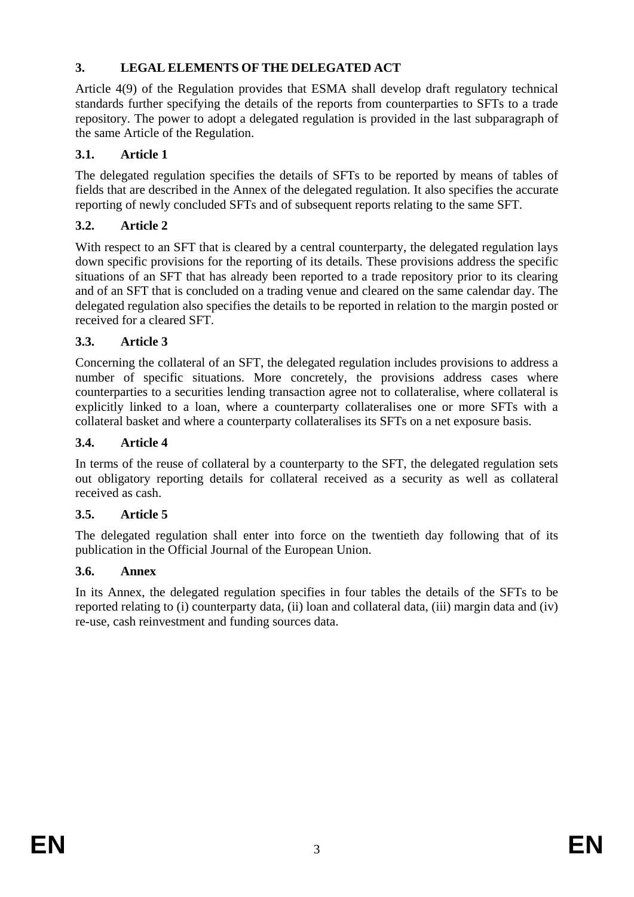## **3. LEGAL ELEMENTS OF THE DELEGATED ACT**

Article 4(9) of the Regulation provides that ESMA shall develop draft regulatory technical standards further specifying the details of the reports from counterparties to SFTs to a trade repository. The power to adopt a delegated regulation is provided in the last subparagraph of the same Article of the Regulation.

## **3.1. Article 1**

The delegated regulation specifies the details of SFTs to be reported by means of tables of fields that are described in the Annex of the delegated regulation. It also specifies the accurate reporting of newly concluded SFTs and of subsequent reports relating to the same SFT.

## **3.2. Article 2**

With respect to an SFT that is cleared by a central counterparty, the delegated regulation lays down specific provisions for the reporting of its details. These provisions address the specific situations of an SFT that has already been reported to a trade repository prior to its clearing and of an SFT that is concluded on a trading venue and cleared on the same calendar day. The delegated regulation also specifies the details to be reported in relation to the margin posted or received for a cleared SFT.

## **3.3. Article 3**

Concerning the collateral of an SFT, the delegated regulation includes provisions to address a number of specific situations. More concretely, the provisions address cases where counterparties to a securities lending transaction agree not to collateralise, where collateral is explicitly linked to a loan, where a counterparty collateralises one or more SFTs with a collateral basket and where a counterparty collateralises its SFTs on a net exposure basis.

## **3.4. Article 4**

In terms of the reuse of collateral by a counterparty to the SFT, the delegated regulation sets out obligatory reporting details for collateral received as a security as well as collateral received as cash.

## **3.5. Article 5**

The delegated regulation shall enter into force on the twentieth day following that of its publication in the Official Journal of the European Union.

## **3.6. Annex**

In its Annex, the delegated regulation specifies in four tables the details of the SFTs to be reported relating to (i) counterparty data, (ii) loan and collateral data, (iii) margin data and (iv) re-use, cash reinvestment and funding sources data.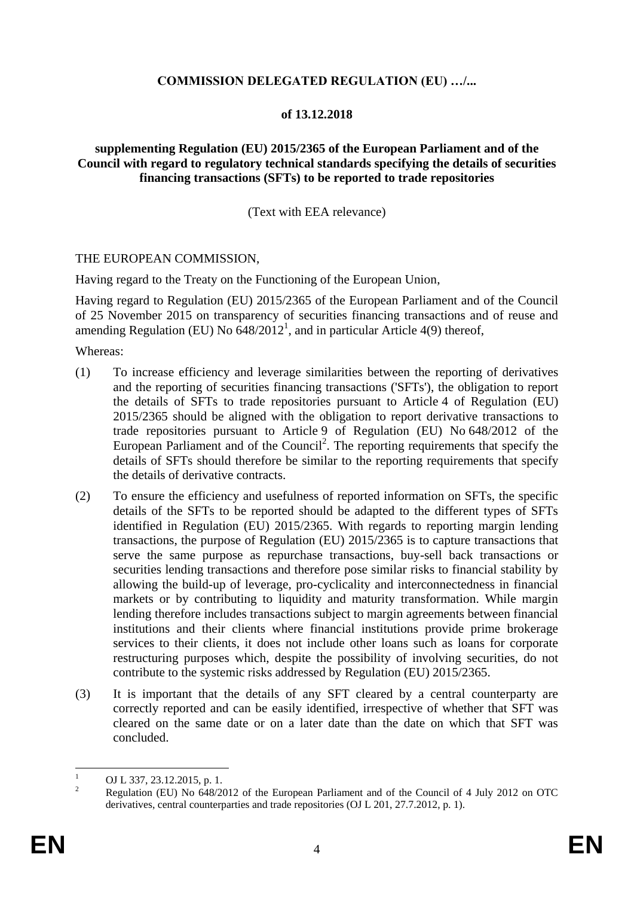#### **COMMISSION DELEGATED REGULATION (EU) …/...**

#### **of 13.12.2018**

#### **supplementing Regulation (EU) 2015/2365 of the European Parliament and of the Council with regard to regulatory technical standards specifying the details of securities financing transactions (SFTs) to be reported to trade repositories**

(Text with EEA relevance)

#### THE EUROPEAN COMMISSION,

Having regard to the Treaty on the Functioning of the European Union,

Having regard to Regulation (EU) 2015/2365 of the European Parliament and of the Council of 25 November 2015 on transparency of securities financing transactions and of reuse and amending Regulation (EU) No  $\overline{648/2012}^1$ , and in particular Article 4(9) thereof,

Whereas:

- (1) To increase efficiency and leverage similarities between the reporting of derivatives and the reporting of securities financing transactions ('SFTs'), the obligation to report the details of SFTs to trade repositories pursuant to Article 4 of Regulation (EU) 2015/2365 should be aligned with the obligation to report derivative transactions to trade repositories pursuant to Article 9 of Regulation (EU) No 648/2012 of the European Parliament and of the Council<sup>2</sup>. The reporting requirements that specify the details of SFTs should therefore be similar to the reporting requirements that specify the details of derivative contracts.
- (2) To ensure the efficiency and usefulness of reported information on SFTs, the specific details of the SFTs to be reported should be adapted to the different types of SFTs identified in Regulation (EU) 2015/2365. With regards to reporting margin lending transactions, the purpose of Regulation (EU) 2015/2365 is to capture transactions that serve the same purpose as repurchase transactions, buy-sell back transactions or securities lending transactions and therefore pose similar risks to financial stability by allowing the build-up of leverage, pro-cyclicality and interconnectedness in financial markets or by contributing to liquidity and maturity transformation. While margin lending therefore includes transactions subject to margin agreements between financial institutions and their clients where financial institutions provide prime brokerage services to their clients, it does not include other loans such as loans for corporate restructuring purposes which, despite the possibility of involving securities, do not contribute to the systemic risks addressed by Regulation (EU) 2015/2365.
- (3) It is important that the details of any SFT cleared by a central counterparty are correctly reported and can be easily identified, irrespective of whether that SFT was cleared on the same date or on a later date than the date on which that SFT was concluded.

 $\mathbf{1}$  $\frac{1}{2}$  OJ L 337, 23.12.2015, p. 1.

<sup>2</sup> Regulation (EU) No 648/2012 of the European Parliament and of the Council of 4 July 2012 on OTC derivatives, central counterparties and trade repositories (OJ L 201, 27.7.2012, p. 1).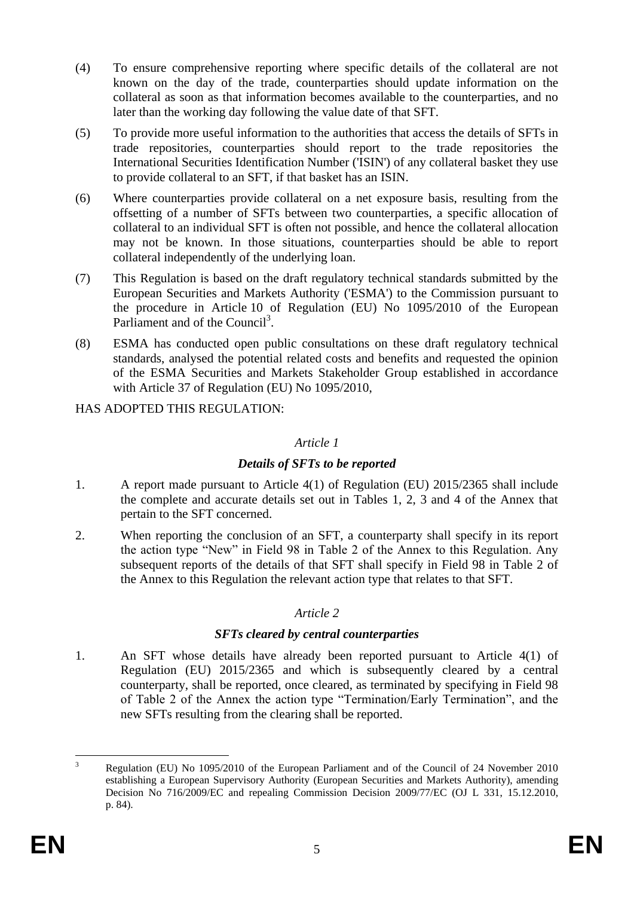- (4) To ensure comprehensive reporting where specific details of the collateral are not known on the day of the trade, counterparties should update information on the collateral as soon as that information becomes available to the counterparties, and no later than the working day following the value date of that SFT.
- (5) To provide more useful information to the authorities that access the details of SFTs in trade repositories, counterparties should report to the trade repositories the International Securities Identification Number ('ISIN') of any collateral basket they use to provide collateral to an SFT, if that basket has an ISIN.
- (6) Where counterparties provide collateral on a net exposure basis, resulting from the offsetting of a number of SFTs between two counterparties, a specific allocation of collateral to an individual SFT is often not possible, and hence the collateral allocation may not be known. In those situations, counterparties should be able to report collateral independently of the underlying loan.
- (7) This Regulation is based on the draft regulatory technical standards submitted by the European Securities and Markets Authority ('ESMA') to the Commission pursuant to the procedure in Article 10 of Regulation (EU) No 1095/2010 of the European Parliament and of the Council<sup>3</sup>.
- (8) ESMA has conducted open public consultations on these draft regulatory technical standards, analysed the potential related costs and benefits and requested the opinion of the ESMA Securities and Markets Stakeholder Group established in accordance with Article 37 of Regulation (EU) No 1095/2010,

HAS ADOPTED THIS REGULATION:

#### *Article 1*

## *Details of SFTs to be reported*

- 1. A report made pursuant to Article 4(1) of Regulation (EU) 2015/2365 shall include the complete and accurate details set out in Tables 1, 2, 3 and 4 of the Annex that pertain to the SFT concerned.
- 2. When reporting the conclusion of an SFT, a counterparty shall specify in its report the action type "New" in Field 98 in Table 2 of the Annex to this Regulation. Any subsequent reports of the details of that SFT shall specify in Field 98 in Table 2 of the Annex to this Regulation the relevant action type that relates to that SFT.

## *Article 2*

## *SFTs cleared by central counterparties*

1. An SFT whose details have already been reported pursuant to Article 4(1) of Regulation (EU) 2015/2365 and which is subsequently cleared by a central counterparty, shall be reported, once cleared, as terminated by specifying in Field 98 of Table 2 of the Annex the action type "Termination/Early Termination", and the new SFTs resulting from the clearing shall be reported.

 $\overline{\mathbf{a}}$ <sup>3</sup> Regulation (EU) No 1095/2010 of the European Parliament and of the Council of 24 November 2010 establishing a European Supervisory Authority (European Securities and Markets Authority), amending Decision No 716/2009/EC and repealing Commission Decision 2009/77/EC (OJ L 331, 15.12.2010, p. 84).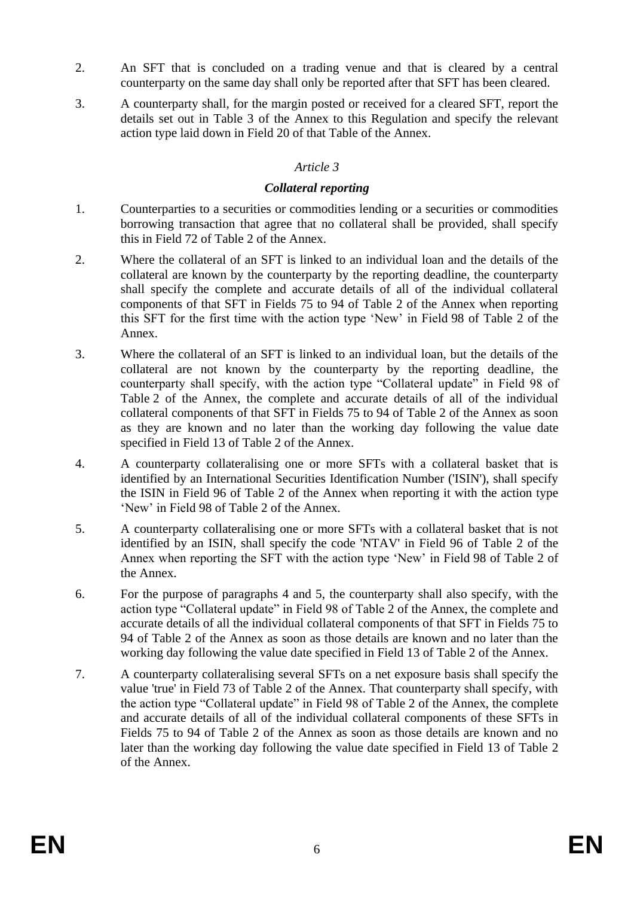- 2. An SFT that is concluded on a trading venue and that is cleared by a central counterparty on the same day shall only be reported after that SFT has been cleared.
- 3. A counterparty shall, for the margin posted or received for a cleared SFT, report the details set out in Table 3 of the Annex to this Regulation and specify the relevant action type laid down in Field 20 of that Table of the Annex.

### *Article 3*

#### *Collateral reporting*

- 1. Counterparties to a securities or commodities lending or a securities or commodities borrowing transaction that agree that no collateral shall be provided, shall specify this in Field 72 of Table 2 of the Annex.
- 2. Where the collateral of an SFT is linked to an individual loan and the details of the collateral are known by the counterparty by the reporting deadline, the counterparty shall specify the complete and accurate details of all of the individual collateral components of that SFT in Fields 75 to 94 of Table 2 of the Annex when reporting this SFT for the first time with the action type 'New' in Field 98 of Table 2 of the Annex.
- 3. Where the collateral of an SFT is linked to an individual loan, but the details of the collateral are not known by the counterparty by the reporting deadline, the counterparty shall specify, with the action type "Collateral update" in Field 98 of Table 2 of the Annex, the complete and accurate details of all of the individual collateral components of that SFT in Fields 75 to 94 of Table 2 of the Annex as soon as they are known and no later than the working day following the value date specified in Field 13 of Table 2 of the Annex.
- 4. A counterparty collateralising one or more SFTs with a collateral basket that is identified by an International Securities Identification Number ('ISIN'), shall specify the ISIN in Field 96 of Table 2 of the Annex when reporting it with the action type 'New' in Field 98 of Table 2 of the Annex.
- 5. A counterparty collateralising one or more SFTs with a collateral basket that is not identified by an ISIN, shall specify the code 'NTAV' in Field 96 of Table 2 of the Annex when reporting the SFT with the action type 'New' in Field 98 of Table 2 of the Annex.
- 6. For the purpose of paragraphs 4 and 5, the counterparty shall also specify, with the action type "Collateral update" in Field 98 of Table 2 of the Annex, the complete and accurate details of all the individual collateral components of that SFT in Fields 75 to 94 of Table 2 of the Annex as soon as those details are known and no later than the working day following the value date specified in Field 13 of Table 2 of the Annex.
- 7. A counterparty collateralising several SFTs on a net exposure basis shall specify the value 'true' in Field 73 of Table 2 of the Annex. That counterparty shall specify, with the action type "Collateral update" in Field 98 of Table 2 of the Annex, the complete and accurate details of all of the individual collateral components of these SFTs in Fields 75 to 94 of Table 2 of the Annex as soon as those details are known and no later than the working day following the value date specified in Field 13 of Table 2 of the Annex.